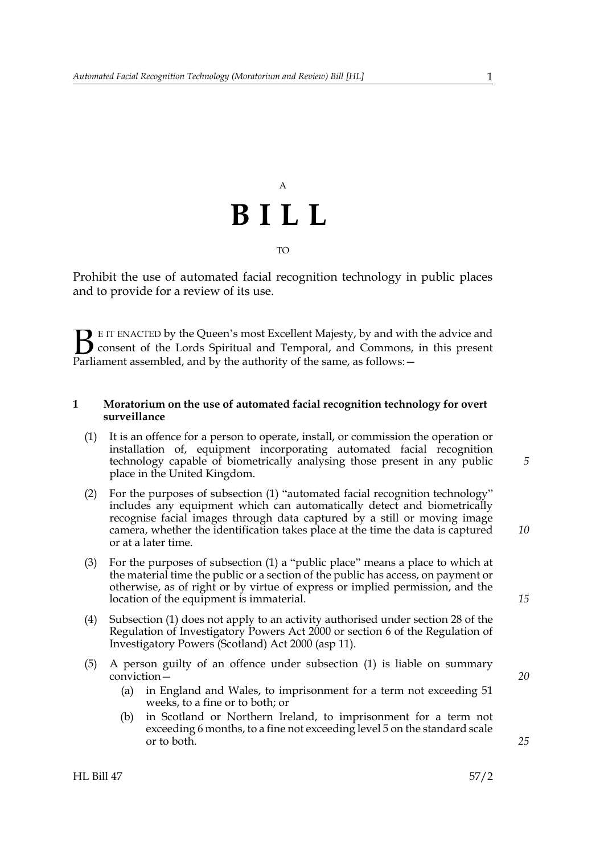## A **BILL** TO

Prohibit the use of automated facial recognition technology in public places and to provide for a review of its use.

E IT ENACTED by the Queen's most Excellent Majesty, by and with the advice and consent of the Lords Spiritual and Temporal, and Commons, in this present **B** E IT ENACTED by the Queen's most Excellent Majesty, by and with consent of the Lords Spiritual and Temporal, and Commons, Parliament assembled, and by the authority of the same, as follows:  $-$ 

#### **1 Moratorium on the use of automated facial recognition technology for overt surveillance**

- <span id="page-0-0"></span>(1) It is an offence for a person to operate, install, or commission the operation or installation of, equipment incorporating automated facial recognition technology capable of biometrically analysing those present in any public place in the United Kingdom.
- (2) For the purposes of subsection [\(1\)](#page-0-0) "automated facial recognition technology" includes any equipment which can automatically detect and biometrically recognise facial images through data captured by a still or moving image camera, whether the identification takes place at the time the data is captured or at a later time.
- (3) For the purposes of subsection [\(1\)](#page-0-0) a "public place" means a place to which at the material time the public or a section of the public has access, on payment or otherwise, as of right or by virtue of express or implied permission, and the location of the equipment is immaterial.
- (4) Subsection [\(1\)](#page-0-0) does not apply to an activity authorised under section 28 of the Regulation of Investigatory Powers Act 2000 or section 6 of the Regulation of Investigatory Powers (Scotland) Act 2000 (asp 11).
- <span id="page-0-1"></span>(5) A person guilty of an offence under subsection [\(1\)](#page-0-0) is liable on summary conviction—
	- (a) in England and Wales, to imprisonment for a term not exceeding 51 weeks, to a fine or to both; or
	- (b) in Scotland or Northern Ireland, to imprisonment for a term not exceeding 6 months, to a fine not exceeding level 5 on the standard scale or to both.

*25*

*20*

*5*

*10*

*15*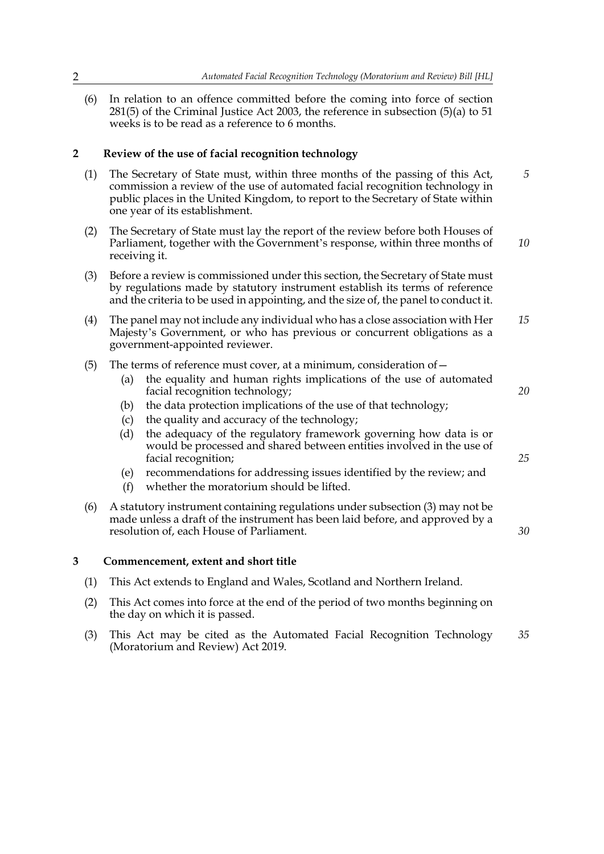(6) In relation to an offence committed before the coming into force of section 281(5) of the Criminal Justice Act 2003, the reference in subsection [\(5\)\(a\)](#page-0-1) to 51 weeks is to be read as a reference to 6 months.

#### **2 Review of the use of facial recognition technology**

- (1) The Secretary of State must, within three months of the passing of this Act, commission a review of the use of automated facial recognition technology in public places in the United Kingdom, to report to the Secretary of State within one year of its establishment. *5*
- (2) The Secretary of State must lay the report of the review before both Houses of Parliament, together with the Government's response, within three months of receiving it. *10*
- <span id="page-1-0"></span>(3) Before a review is commissioned under this section, the Secretary of State must by regulations made by statutory instrument establish its terms of reference and the criteria to be used in appointing, and the size of, the panel to conduct it.
- (4) The panel may not include any individual who has a close association with Her Majesty's Government, or who has previous or concurrent obligations as a government-appointed reviewer. *15*
- (5) The terms of reference must cover, at a minimum, consideration of  $-$ 
	- (a) the equality and human rights implications of the use of automated facial recognition technology;

*20*

*25*

*30*

- (b) the data protection implications of the use of that technology;
- (c) the quality and accuracy of the technology;
- (d) the adequacy of the regulatory framework governing how data is or would be processed and shared between entities involved in the use of facial recognition;
- (e) recommendations for addressing issues identified by the review; and
- (f) whether the moratorium should be lifted.
- (6) A statutory instrument containing regulations under subsection [\(3\)](#page-1-0) may not be made unless a draft of the instrument has been laid before, and approved by a resolution of, each House of Parliament.

#### **3 Commencement, extent and short title**

- (1) This Act extends to England and Wales, Scotland and Northern Ireland.
- (2) This Act comes into force at the end of the period of two months beginning on the day on which it is passed.
- (3) This Act may be cited as the Automated Facial Recognition Technology (Moratorium and Review) Act 2019. *35*